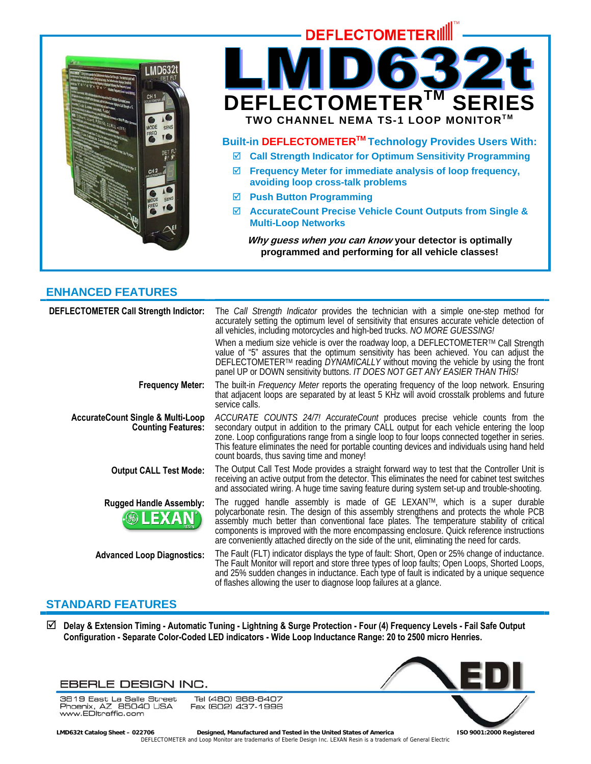



- ; **Frequency Meter for immediate analysis of loop frequency, avoiding loop cross-talk problems**
- ; **Push Button Programming**
- ; **AccurateCount Precise Vehicle Count Outputs from Single & Multi-Loop Networks**

**Why guess when you can know your detector is optimally programmed and performing for all vehicle classes!** 

# **ENHANCED FEATURES**

| DEFLECTOMETER Call Strength Indictor:                                     | The Call Strength Indicator provides the technician with a simple one-step method for<br>accurately setting the optimum level of sensitivity that ensures accurate vehicle detection of<br>all vehicles, including motorcycles and high-bed trucks. NO MORE GUESSING!                                                                                                                                                                                         |
|---------------------------------------------------------------------------|---------------------------------------------------------------------------------------------------------------------------------------------------------------------------------------------------------------------------------------------------------------------------------------------------------------------------------------------------------------------------------------------------------------------------------------------------------------|
|                                                                           | When a medium size vehicle is over the roadway loop, a DEFLECTOMETER™ Call Strength<br>value of "5" assures that the optimum sensitivity has been achieved. You can adjust the<br>DEFLECTOMETER™ reading DYNAMICALLY without moving the vehicle by using the front<br>panel UP or DOWN sensitivity buttons. IT DOES NOT GET ANY EASIER THAN THIS!                                                                                                             |
| <b>Frequency Meter:</b>                                                   | The built-in Frequency Meter reports the operating frequency of the loop network. Ensuring that adjacent loops are separated by at least 5 KHz will avoid crosstalk problems and future<br>service calls.                                                                                                                                                                                                                                                     |
| <b>AccurateCount Single &amp; Multi-Loop</b><br><b>Counting Features:</b> | ACCURATE COUNTS 24/7! AccurateCount produces precise vehicle counts from the<br>secondary output in addition to the primary CALL output for each vehicle entering the loop<br>zone. Loop configurations range from a single loop to four loops connected together in series.<br>This feature eliminates the need for portable counting devices and individuals using hand held<br>count boards, thus saving time and money!                                   |
| <b>Output CALL Test Mode:</b>                                             | The Output Call Test Mode provides a straight forward way to test that the Controller Unit is<br>receiving an active output from the detector. This eliminates the need for cabinet test switches<br>and associated wiring. A huge time saving feature during system set-up and trouble-shooting.                                                                                                                                                             |
| <b>Rugged Handle Assembly:</b><br><b>&amp; LEXAN</b>                      | The rugged handle assembly is made of GE LEXAN™, which is a super durable<br>polycarbonate resin. The design of this assembly strengthens and protects the whole PCB<br>assembly much better than conventional face plates. The temperature stability of critical<br>components is improved with the more encompassing enclosure. Quick reference instructions<br>are conveniently attached directly on the side of the unit, eliminating the need for cards. |
| <b>Advanced Loop Diagnostics:</b>                                         | The Fault (FLT) indicator displays the type of fault: Short, Open or 25% change of inductance.<br>The Fault Monitor will report and store three types of loop faults; Open Loops, Shorted Loops,<br>and 25% sudden changes in inductance. Each type of fault is indicated by a unique sequence<br>of flashes allowing the user to diagnose loop failures at a glance.                                                                                         |

# **STANDARD FEATURES**

; **Delay & Extension Timing - Automatic Tuning - Lightning & Surge Protection - Four (4) Frequency Levels - Fail Safe Output Configuration - Separate Color-Coded LED indicators - Wide Loop Inductance Range: 20 to 2500 micro Henries.** 



3819 East La Salle Street So To East La Salle Street<br>Phoenix, AZ 85040 USA<br>www.EDltraffic.com

Tel (480) 968-6407 Fax (602) 437-1996